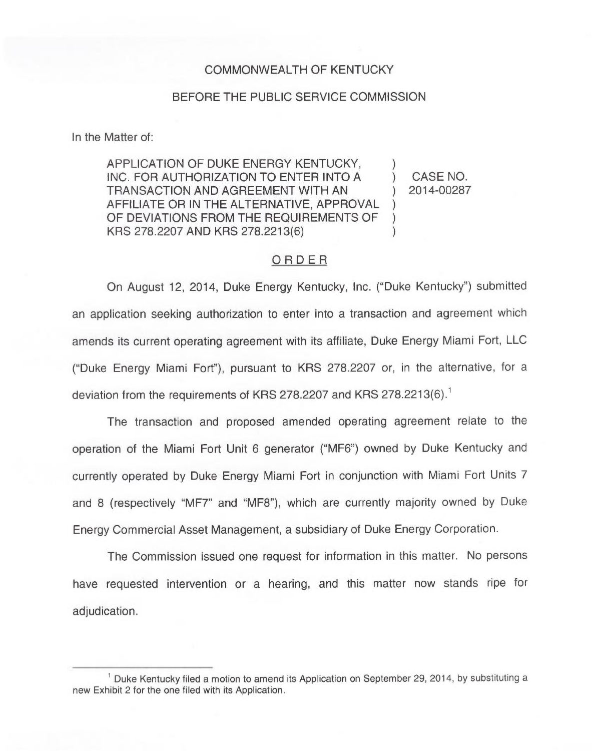## COMMONWEALTH OF KENTUCKY

#### BEFORE THE PUBLIC SERVICE COMMISSION

In the Matter of:

APPLICATION OF DUKE ENERGY KENTUCKY, INC. FOR AUTHORIZATION TO ENTER INTO A TRANSACTION AND AGREEMENT WITH AN AFFILIATE OR IN THE ALTERNATIVE, APPROVAL OF DEVIATIONS FROM THE REQUIREMENTS OF KRS 278.2207 AND KRS 278.2213(6) ) )  $\lambda$ )

) CASE NO. ) 2014-00287

# ORDER

On August 12, 2014, Duke Energy Kentucky, Inc. ("Duke Kentucky") submitte an application seeking authorization to enter into a transaction and agreement which amends its current operating agreement with its affiliate, Duke Energy Miami Fort, LLC ("Duke Energy Miami Fort"), pursuant to KRS 278.2207 or, in the alternative, for a deviation from the requirements of KRS 278.2207 and KRS 278.2213(6).<sup>1</sup>

The transaction and proposed amended operating agreement relate to the operation of the Miami Fort Unit 6 generator ("MF6") owned by Duke Kentucky and currently operated by Duke Energy Miami Fort in conjunction with Miami Fort Units 7 and 8 (respectively "MF7" and "MF8"), which are currently majority owned by Duke Energy Commercial Asset Management, a subsidiary of Duke Energy Corporation.

The Commission issued one request for information in this matter. No persons have requested intervention or a hearing, and this matter now stands ripe for adjudication.

 $<sup>1</sup>$  Duke Kentucky filed a motion to amend its Application on September 29, 2014, by substituting a</sup> new Exhibit 2 for the one filed with its Application.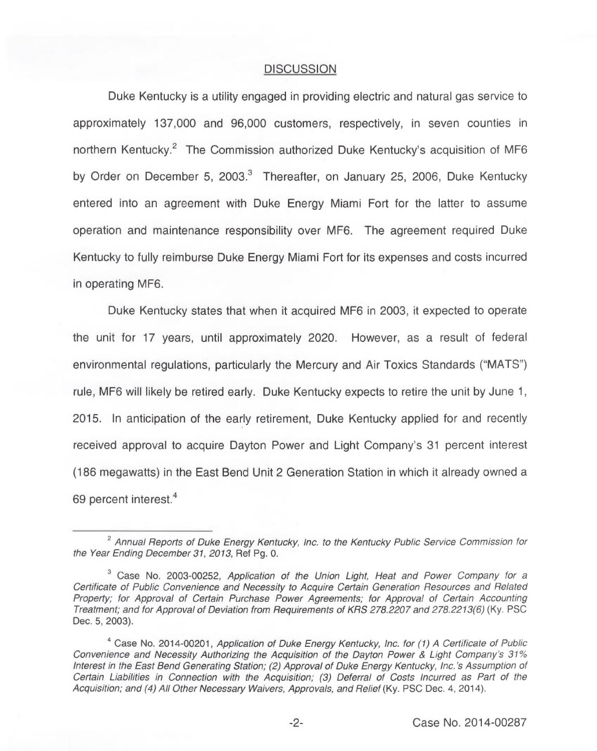## **DISCUSSION**

Duke Kentucky is a utility engaged in providing electric and natural gas service to approximately 137,000 and 96,000 customers, respectively, in seven counties in northern Kentucky.<sup>2</sup> The Commission authorized Duke Kentucky's acquisition of MF6 by Order on December 5, 2003.<sup>3</sup> Thereafter, on January 25, 2006, Duke Kentucky entered into an agreement with Duke Energy Miami Fort for the latter to assume operation and maintenance responsibility over MF6. The agreement required Duke Kentucky to fully reimburse Duke Energy Miami Fort for its expenses and costs incurred in operating MF6.

Duke Kentucky states that when it acquired MF6 in 2003, it expected to operate the unit for 17 years, until approximately 2020. However, as a result of federal environmental regulations, particularly the Mercury and Air Toxics Standards ("MATS" ) rule, MF6 will likely be retired early. Duke Kentucky expects to retire the unit by June 1, 2015. In anticipation of the early retirement, Duke Kentucky applied for and recently received approval to acquire Dayton Power and Light Company's 31 percent interest (186 megawatts) in the East Bend Unit 2 Generation Station in which it already owned a 69 percent interest.<sup>4</sup>

 $2$  Annual Reports of Duke Energy Kentucky, Inc. to the Kentucky Public Service Commission for the Year Ending December 31, 2013, Ref Pg. 0.

 $3$  Case No. 2003-00252, Application of the Union Light, Heat and Power Company for a Certificate of Public Convenience and Necessity to Acquire Certain Generation Resources and Related Property; for Approval of Certain Purchase Power Agreements; for Approval of Certain Accounting Treatment; and for Approval of Deviation from Requirements of KRS 278.2207 and 278.2213(6)(Ky. PSC Dec. 5, 2003).

<sup>&</sup>lt;sup>4</sup> Case No. 2014-00201. Application of Duke Energy Kentucky, Inc. for (1) A Certificate of Public Convenience and Necessity Authorizing the Acquisition of the Dayton Power 8 Light Company's 31% Interestin the East Bend Generating Station; (2) Approval of Duke Energy Kentucky, Inc.'s Assumption of Certain Liabilities in Connection with the Acquisition; (3) Deferral of Costs Incurred as Part of the Acquisition; and (4) All Other Necessary Waivers, Approvals, and Relief (Ky. PSC Dec. 4, 2014).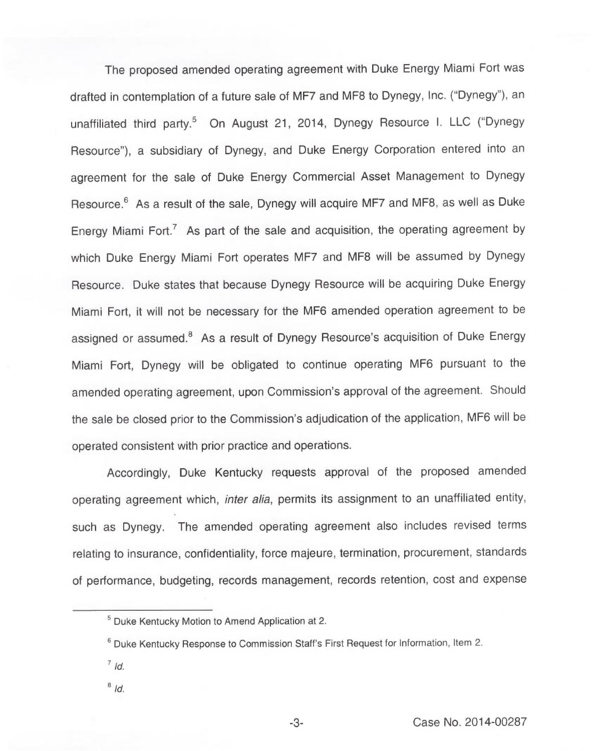The proposed amended operating agreement with Duke Energy Miami Fort was drafted in contemplation of a future sale of MF7 and MF8 to Dynegy, Inc. ("Dynegy"), an unaffiliated third party.<sup>5</sup> On August 21, 2014, Dynegy Resource I. LLC ("Dynegy Resource"), a subsidiary of Dynegy, and Duke Energy Corporation entered into an agreement for the sale of Duke Energy Commercial Asset Management to Dynegy Resource.<sup>6</sup> As a result of the sale. Dynegy will acquire MF7 and MF8, as well as Duke Energy Miami Fort.<sup>7</sup> As part of the sale and acquisition, the operating agreement by which Duke Energy Miami Fort operates MF7 and MF8 will be assumed by Dynegy Resource. Duke states that because Dynegy Resource will be acquiring Duke Energy Miami Fort, it will not be necessary for the MF6 amended operation agreement to be assigned or assumed.<sup>8</sup> As a result of Dynegy Resource's acquisition of Duke Energy Miami Fort, Dynegy will be obligated to continue operating MF6 pursuant to the amended operating agreement, upon Commission's approval of the agreement. Should the sale be closed prior to the Commission's adjudication of the application, MF6 will be operated consistent with prior practice and operations.

Accordingly, Duke Kentucky requests approval of the proposed amended operating agreement which, inter alia, permits its assignment to an unaffiliated entity, such as Dynegy. The amended operating agreement also includes revised terms relating to insurance, confidentiality, force majeure, termination, procurement, standards of performance, budgeting, records management, records retention, cost and expense

- $7/d$
- $8/d$

 $<sup>5</sup>$  Duke Kentucky Motion to Amend Application at 2.</sup>

 $6$  Duke Kentucky Response to Commission Staff's First Request for Information, Item 2.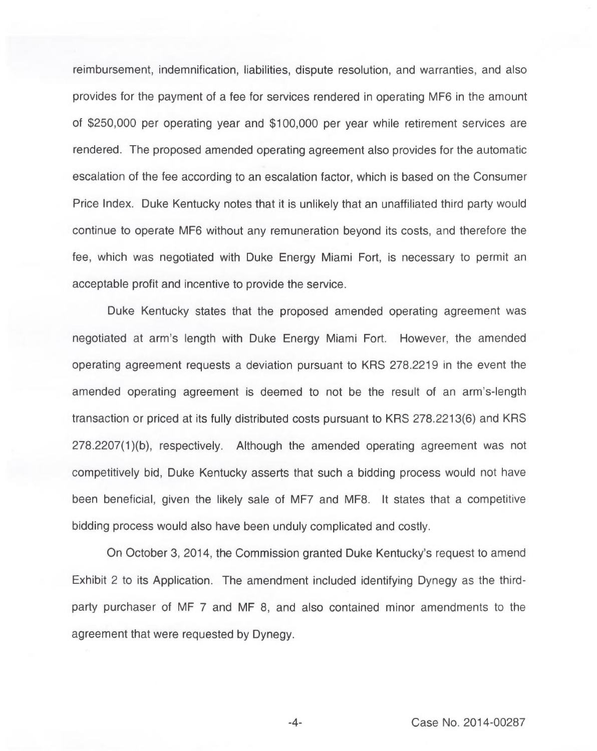reimbursement, indemnification, liabilities, dispute resolution, and warranties, and also provides for the payment of a fee for services rendered in operating MF6 in the amount of \$250,000 per operating year and \$100,000 per year while retirement services are rendered. The proposed amended operating agreement also provides for the automatic escalation of the fee according to an escalation factor, which is based on the Consumer Price Index. Duke Kentucky notes that it is unlikely that an unaffiliated third party would continue to operate MF6 without any remuneration beyond its costs, and therefore the fee, which was negotiated with Duke Energy Miami Fort, is necessary to permit an acceptable profit and incentive to provide the service.

Duke Kentucky states that the proposed amended operating agreement was negotiated at arm's length with Duke Energy Miami Fort. However, the amended operating agreement requests a deviation pursuant to KRS 278.2219 in the event the amended operating agreement is deemed to not be the result of an arm's-length transaction or priced at its fully distributed costs pursuant to KRS 278.2213(6) and KRS 278.2207(1)(b), respectively. Although the amended operating agreement was not competitively bid, Duke Kentucky asserts that such a bidding process would not have been beneficial, given the likely sale of MF7 and MF8. It states that a competitive bidding process would also have been unduly complicated and costly.

On October 3, 2014, the Commission granted Duke Kentucky's request to amend Exhibit 2 to its Application. The amendment included identifying Dynegy as the thirdparty purchaser of MF 7 and MF 8, and also contained minor amendments to the agreement that were requested by Dynegy.

-4- Case No. 2014-00287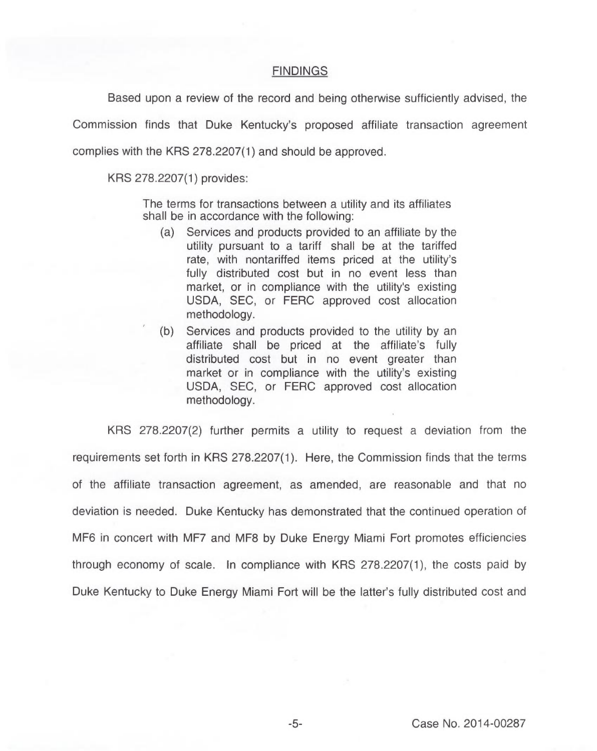## **FINDINGS**

Based upon a review of the record and being otherwise sufficiently advised, the

Commission finds that Duke Kentucky's proposed affiliate transaction agreement complies with the KRS 278.2207(1) and should be approved.

KRS 278.2207(1) provides:

The terms for transactions between a utility and its affiliates shall be in accordance with the following:

- (a) Services and products provided to an affiliate by the utility pursuant to a tariff shall be at the tariffed rate, with nontariffed items priced at the utility's fully distributed cost but in no event less than market, or in compliance with the utility's existing USDA, SEC, or FERC approved cost allocation methodology.
- (b) Services and products provided to the utility by an affiliate shall be priced at the affiliate's fully distributed cost but in no event greater than market or in compliance with the utility's existing USDA, SEC, or FERC approved cost allocation methodology.

KRS 278.2207(2) further permits a utility to request a deviation from the requirements set forth in KRS 278.2207(1). Here, the Commission finds that the terms of the affiliate transaction agreement, as amended, are reasonable and that no deviation is needed. Duke Kentucky has demonstrated that the continued operation of MF6 in concert with MF7 and MF8 by Duke Energy Miami Fort promotes efficiencies through economy of scale. In compliance with KRS 278.2207(1), the costs paid by Duke Kentucky to Duke Energy Miami Fort will be the latter's fully distributed cost and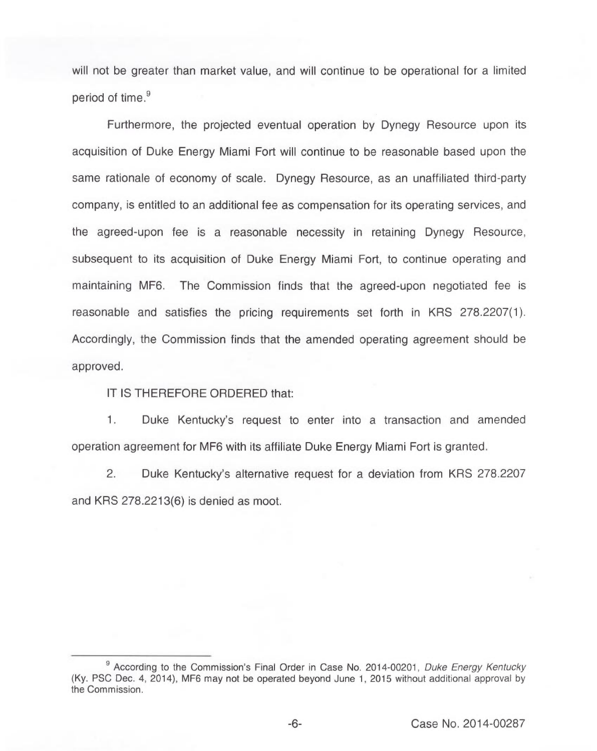will not be greater than market value, and will continue to be operational for a limited period of time.<sup>9</sup>

rthermore, the projected eventual operation by Dynegy Resource upon its acquisition of Duke Energy Miami Fort will continue to be reasonable based upon the same rationale of economy of scale. Dynegy Resource, as an unaffiliated third-party company, is entitled to an additional fee as compensation for its operating services, and the agreed-upon fee is a reasonable necessity in retaining Dynegy Resource, subsequent to its acquisition of Duke Energy Miami Fort, to continue operating and maintaining MF6. The Commission finds that the agreed-upon negotiated fee is reasonable and satisfies the pricing requirements set forth in KRS 278.2207(1). Accordingly, the Commission finds that the amended operating agreement should be approved.

IT IS THEREFORE ORDERED that:

 $1.$ Duke Kentucky's request to enter into a transaction and amended operation agreement for MF6 with its affiliate Duke Energy Miami Fort is granted.

 $2.$ Duke Kentucky's alternative request for a deviation from KRS 278.2207 and KRS 278.2213(6) is denied as moot.

<sup>&</sup>lt;sup>9</sup> According to the Commission's Final Order in Case No. 2014-00201, Duke Energy Kentucky (Ky. PSC Dec. 4, 2014), MF6 may not be operated beyond June 1, 2015 without additional approval by the Commission.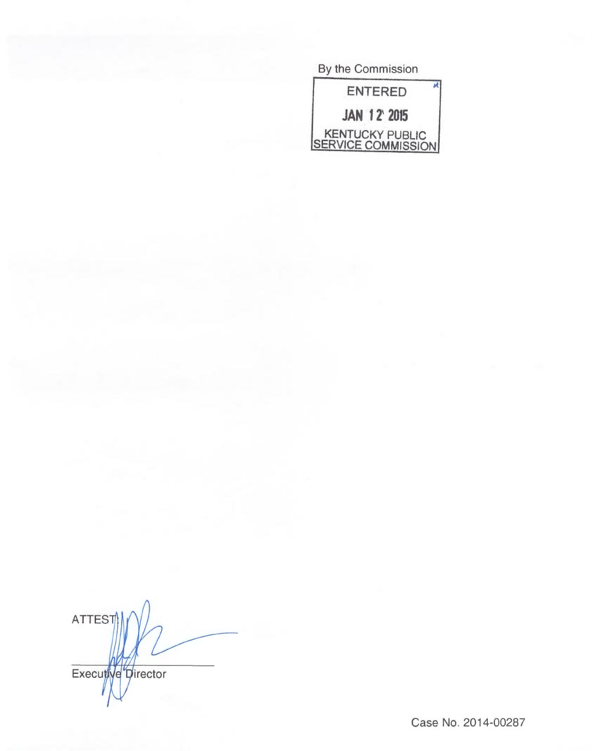By the Commission



**ATTEST** Executive Director

Case No. 2014-00287